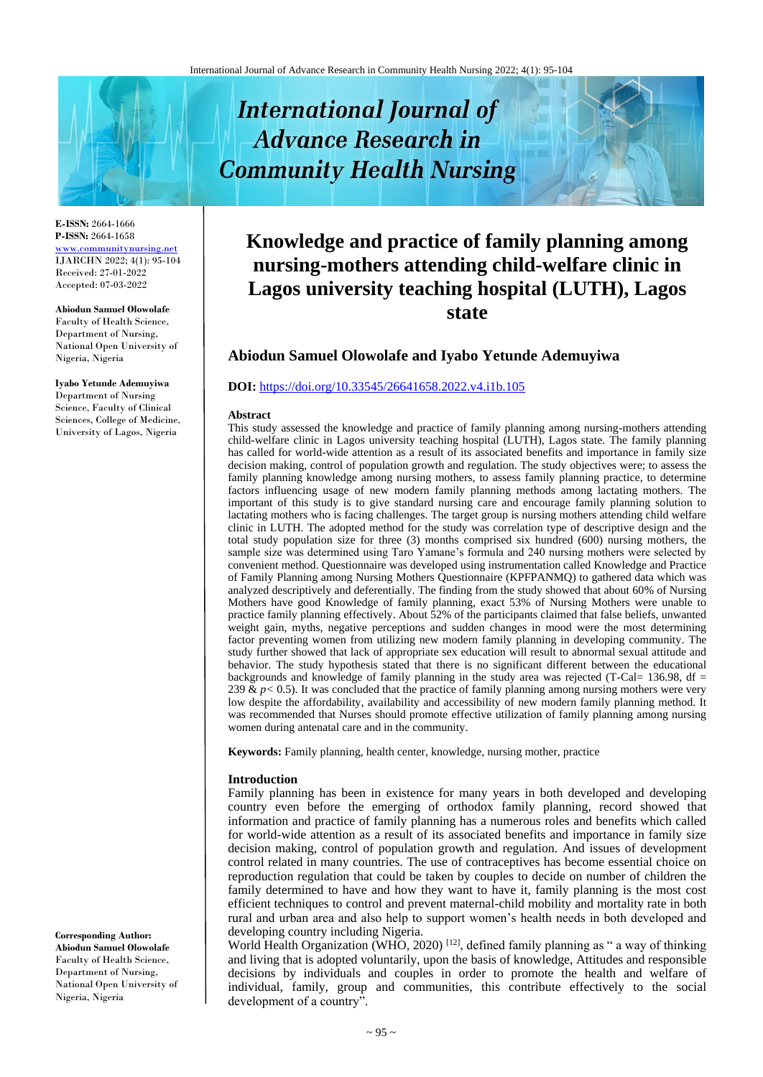# **International Journal of Advance Research in Community Health Nursing**

**E-ISSN:** 2664-1666 **P-ISSN:** 2664-1658 [www.communitynursing.net](http://www.communitynursing.net/) IJARCHN 2022; 4(1): 95-104 Received: 27-01-2022 Accepted: 07-03-2022

#### **Abiodun Samuel Olowolafe**

Faculty of Health Science, Department of Nursing, National Open University of Nigeria, Nigeria

**Iyabo Yetunde Ademuyiwa** Department of Nursing Science, Faculty of Clinical Sciences, College of Medicine, University of Lagos, Nigeria

**Corresponding Author:**

**Abiodun Samuel Olowolafe** Faculty of Health Science, Department of Nursing, National Open University of Nigeria, Nigeria

## **Knowledge and practice of family planning among nursing-mothers attending child-welfare clinic in Lagos university teaching hospital (LUTH), Lagos state**

### **Abiodun Samuel Olowolafe and Iyabo Yetunde Ademuyiwa**

#### **DOI:** <https://doi.org/10.33545/26641658.2022.v4.i1b.105>

#### **Abstract**

This study assessed the knowledge and practice of family planning among nursing-mothers attending child-welfare clinic in Lagos university teaching hospital (LUTH), Lagos state. The family planning has called for world-wide attention as a result of its associated benefits and importance in family size decision making, control of population growth and regulation. The study objectives were; to assess the family planning knowledge among nursing mothers, to assess family planning practice, to determine factors influencing usage of new modern family planning methods among lactating mothers. The important of this study is to give standard nursing care and encourage family planning solution to lactating mothers who is facing challenges. The target group is nursing mothers attending child welfare clinic in LUTH. The adopted method for the study was correlation type of descriptive design and the total study population size for three (3) months comprised six hundred (600) nursing mothers, the sample size was determined using Taro Yamane's formula and 240 nursing mothers were selected by convenient method. Questionnaire was developed using instrumentation called Knowledge and Practice of Family Planning among Nursing Mothers Questionnaire (KPFPANMQ) to gathered data which was analyzed descriptively and deferentially. The finding from the study showed that about 60% of Nursing Mothers have good Knowledge of family planning, exact 53% of Nursing Mothers were unable to practice family planning effectively. About 52% of the participants claimed that false beliefs, unwanted weight gain, myths, negative perceptions and sudden changes in mood were the most determining factor preventing women from utilizing new modern family planning in developing community. The study further showed that lack of appropriate sex education will result to abnormal sexual attitude and behavior. The study hypothesis stated that there is no significant different between the educational backgrounds and knowledge of family planning in the study area was rejected (T-Cal= 136.98, df = 239  $\& p$   $<$  0.5). It was concluded that the practice of family planning among nursing mothers were very low despite the affordability, availability and accessibility of new modern family planning method. It was recommended that Nurses should promote effective utilization of family planning among nursing women during antenatal care and in the community.

**Keywords:** Family planning, health center, knowledge, nursing mother, practice

#### **Introduction**

Family planning has been in existence for many years in both developed and developing country even before the emerging of orthodox family planning, record showed that information and practice of family planning has a numerous roles and benefits which called for world-wide attention as a result of its associated benefits and importance in family size decision making, control of population growth and regulation. And issues of development control related in many countries. The use of contraceptives has become essential choice on reproduction regulation that could be taken by couples to decide on number of children the family determined to have and how they want to have it, family planning is the most cost efficient techniques to control and prevent maternal-child mobility and mortality rate in both rural and urban area and also help to support women's health needs in both developed and developing country including Nigeria.

World Health Organization (WHO, 2020)<sup>[12]</sup>, defined family planning as " a way of thinking and living that is adopted voluntarily, upon the basis of knowledge, Attitudes and responsible decisions by individuals and couples in order to promote the health and welfare of individual, family, group and communities, this contribute effectively to the social development of a country".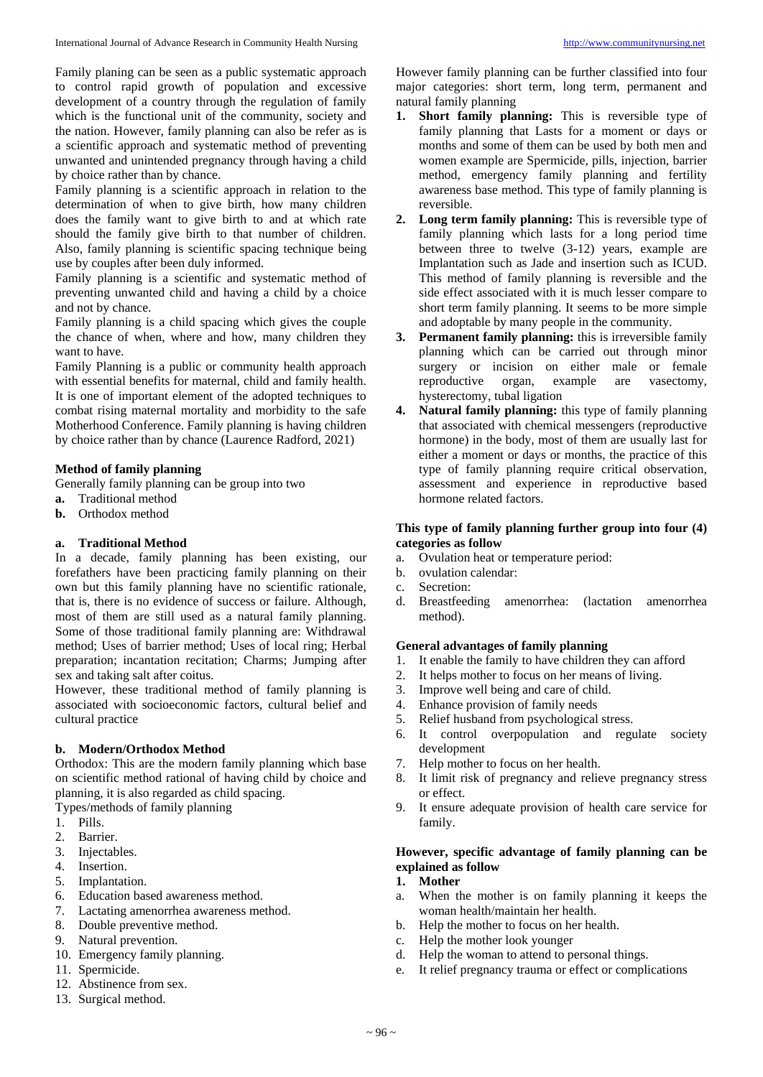Family planing can be seen as a public systematic approach to control rapid growth of population and excessive development of a country through the regulation of family which is the functional unit of the community, society and the nation. However, family planning can also be refer as is a scientific approach and systematic method of preventing unwanted and unintended pregnancy through having a child by choice rather than by chance.

Family planning is a scientific approach in relation to the determination of when to give birth, how many children does the family want to give birth to and at which rate should the family give birth to that number of children. Also, family planning is scientific spacing technique being use by couples after been duly informed.

Family planning is a scientific and systematic method of preventing unwanted child and having a child by a choice and not by chance.

Family planning is a child spacing which gives the couple the chance of when, where and how, many children they want to have.

Family Planning is a public or community health approach with essential benefits for maternal, child and family health. It is one of important element of the adopted techniques to combat rising maternal mortality and morbidity to the safe Motherhood Conference. Family planning is having children by choice rather than by chance (Laurence Radford, 2021)

#### **Method of family planning**

Generally family planning can be group into two

- **a.** Traditional method
- **b.** Orthodox method

#### **a. Traditional Method**

In a decade, family planning has been existing, our forefathers have been practicing family planning on their own but this family planning have no scientific rationale, that is, there is no evidence of success or failure. Although, most of them are still used as a natural family planning. Some of those traditional family planning are: Withdrawal method; Uses of barrier method; Uses of local ring; Herbal preparation; incantation recitation; Charms; Jumping after sex and taking salt after coitus.

However, these traditional method of family planning is associated with socioeconomic factors, cultural belief and cultural practice

#### **b. Modern/Orthodox Method**

Orthodox: This are the modern family planning which base on scientific method rational of having child by choice and planning, it is also regarded as child spacing.

Types/methods of family planning

- 1. Pills.
- 2. Barrier.
- 3. Injectables.
- 4. Insertion.
- 5. Implantation.
- 6. Education based awareness method.<br>7. Lactating amenorrhea awareness me
- Lactating amenorrhea awareness method.
- 8. Double preventive method.
- 9. Natural prevention.
- 10. Emergency family planning.
- 11. Spermicide.
- 12. Abstinence from sex.
- 13. Surgical method.

However family planning can be further classified into four major categories: short term, long term, permanent and natural family planning

- **1. Short family planning:** This is reversible type of family planning that Lasts for a moment or days or months and some of them can be used by both men and women example are Spermicide, pills, injection, barrier method, emergency family planning and fertility awareness base method. This type of family planning is reversible.
- **2. Long term family planning:** This is reversible type of family planning which lasts for a long period time between three to twelve (3-12) years, example are Implantation such as Jade and insertion such as ICUD. This method of family planning is reversible and the side effect associated with it is much lesser compare to short term family planning. It seems to be more simple and adoptable by many people in the community.
- **3. Permanent family planning:** this is irreversible family planning which can be carried out through minor surgery or incision on either male or female reproductive organ, example are vasectomy, hysterectomy, tubal ligation
- **4. Natural family planning:** this type of family planning that associated with chemical messengers (reproductive hormone) in the body, most of them are usually last for either a moment or days or months, the practice of this type of family planning require critical observation, assessment and experience in reproductive based hormone related factors.

#### **This type of family planning further group into four (4) categories as follow**

- a. Ovulation heat or temperature period:
- b. ovulation calendar:
- c. Secretion:
- d. Breastfeeding amenorrhea: (lactation amenorrhea method).

#### **General advantages of family planning**

- 1. It enable the family to have children they can afford
- 2. It helps mother to focus on her means of living.
- 3. Improve well being and care of child.
- 4. Enhance provision of family needs
- 5. Relief husband from psychological stress.
- 6. It control overpopulation and regulate society development
- 7. Help mother to focus on her health.
- 8. It limit risk of pregnancy and relieve pregnancy stress or effect.
- 9. It ensure adequate provision of health care service for family.

#### **However, specific advantage of family planning can be explained as follow**

- **1. Mother**
- a. When the mother is on family planning it keeps the woman health/maintain her health.
- b. Help the mother to focus on her health.
- c. Help the mother look younger
- d. Help the woman to attend to personal things.
- It relief pregnancy trauma or effect or complications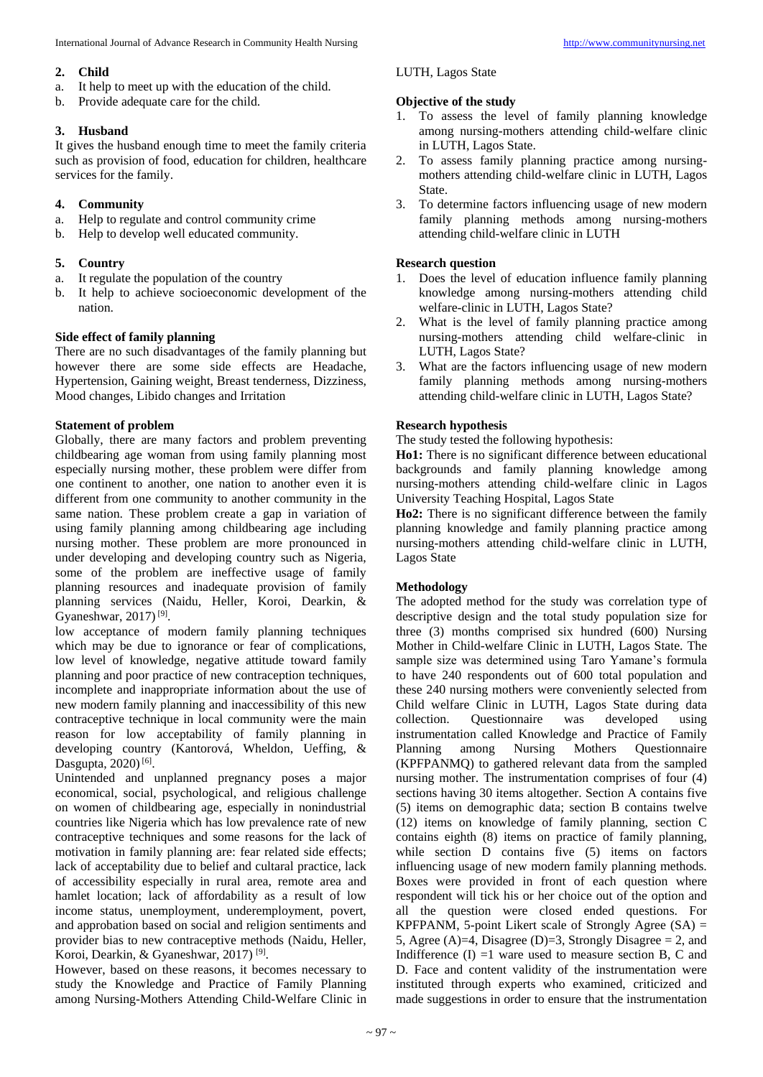#### **2. Child**

- a. It help to meet up with the education of the child.
- b. Provide adequate care for the child.

#### **3. Husband**

It gives the husband enough time to meet the family criteria such as provision of food, education for children, healthcare services for the family.

#### **4. Community**

- a. Help to regulate and control community crime
- b. Help to develop well educated community.

- **5. Country** It regulate the population of the country
- b. It help to achieve socioeconomic development of the nation.

#### **Side effect of family planning**

There are no such disadvantages of the family planning but however there are some side effects are Headache, Hypertension, Gaining weight, Breast tenderness, Dizziness, Mood changes, Libido changes and Irritation

#### **Statement of problem**

Globally, there are many factors and problem preventing childbearing age woman from using family planning most especially nursing mother, these problem were differ from one continent to another, one nation to another even it is different from one community to another community in the same nation. These problem create a gap in variation of using family planning among childbearing age including nursing mother. These problem are more pronounced in under developing and developing country such as Nigeria, some of the problem are ineffective usage of family planning resources and inadequate provision of family planning services (Naidu, Heller, Koroi, Dearkin, & Gyaneshwar,  $2017$ <sup>[9]</sup>.

low acceptance of modern family planning techniques which may be due to ignorance or fear of complications, low level of knowledge, negative attitude toward family planning and poor practice of new contraception techniques, incomplete and inappropriate information about the use of new modern family planning and inaccessibility of this new contraceptive technique in local community were the main reason for low acceptability of family planning in developing country (Kantorová, Wheldon, Ueffing, & Dasgupta, 2020)<sup>[6]</sup>.

Unintended and unplanned pregnancy poses a major economical, social, psychological, and religious challenge on women of childbearing age, especially in nonindustrial countries like Nigeria which has low prevalence rate of new contraceptive techniques and some reasons for the lack of motivation in family planning are: fear related side effects; lack of acceptability due to belief and cultaral practice, lack of accessibility especially in rural area, remote area and hamlet location; lack of affordability as a result of low income status, unemployment, underemployment, povert, and approbation based on social and religion sentiments and provider bias to new contraceptive methods (Naidu, Heller, Koroi, Dearkin, & Gyaneshwar, 2017)<sup>[9]</sup>.

However, based on these reasons, it becomes necessary to study the Knowledge and Practice of Family Planning among Nursing-Mothers Attending Child-Welfare Clinic in

#### LUTH, Lagos State

#### **Objective of the study**

- 1. To assess the level of family planning knowledge among nursing-mothers attending child-welfare clinic in LUTH, Lagos State.
- 2. To assess family planning practice among nursingmothers attending child-welfare clinic in LUTH, Lagos **State**.
- 3. To determine factors influencing usage of new modern family planning methods among nursing-mothers attending child-welfare clinic in LUTH

#### **Research question**

- 1. Does the level of education influence family planning knowledge among nursing-mothers attending child welfare-clinic in LUTH, Lagos State?
- 2. What is the level of family planning practice among nursing-mothers attending child welfare-clinic in LUTH, Lagos State?
- 3. What are the factors influencing usage of new modern family planning methods among nursing-mothers attending child-welfare clinic in LUTH, Lagos State?

#### **Research hypothesis**

The study tested the following hypothesis:

**Ho1:** There is no significant difference between educational backgrounds and family planning knowledge among nursing-mothers attending child-welfare clinic in Lagos University Teaching Hospital, Lagos State

**Ho2:** There is no significant difference between the family planning knowledge and family planning practice among nursing-mothers attending child-welfare clinic in LUTH, Lagos State

#### **Methodology**

The adopted method for the study was correlation type of descriptive design and the total study population size for three (3) months comprised six hundred (600) Nursing Mother in Child-welfare Clinic in LUTH, Lagos State. The sample size was determined using Taro Yamane's formula to have 240 respondents out of 600 total population and these 240 nursing mothers were conveniently selected from Child welfare Clinic in LUTH, Lagos State during data collection. Questionnaire was developed using Questionnaire was developed using instrumentation called Knowledge and Practice of Family Planning among Nursing Mothers Questionnaire (KPFPANMQ) to gathered relevant data from the sampled nursing mother. The instrumentation comprises of four (4) sections having 30 items altogether. Section A contains five (5) items on demographic data; section B contains twelve (12) items on knowledge of family planning, section C contains eighth (8) items on practice of family planning, while section D contains five (5) items on factors influencing usage of new modern family planning methods. Boxes were provided in front of each question where respondent will tick his or her choice out of the option and all the question were closed ended questions. For KPFPANM, 5-point Likert scale of Strongly Agree  $(SA) =$ 5, Agree (A)=4, Disagree (D)=3, Strongly Disagree  $= 2$ , and Indifference  $(I) = 1$  ware used to measure section B, C and D. Face and content validity of the instrumentation were instituted through experts who examined, criticized and made suggestions in order to ensure that the instrumentation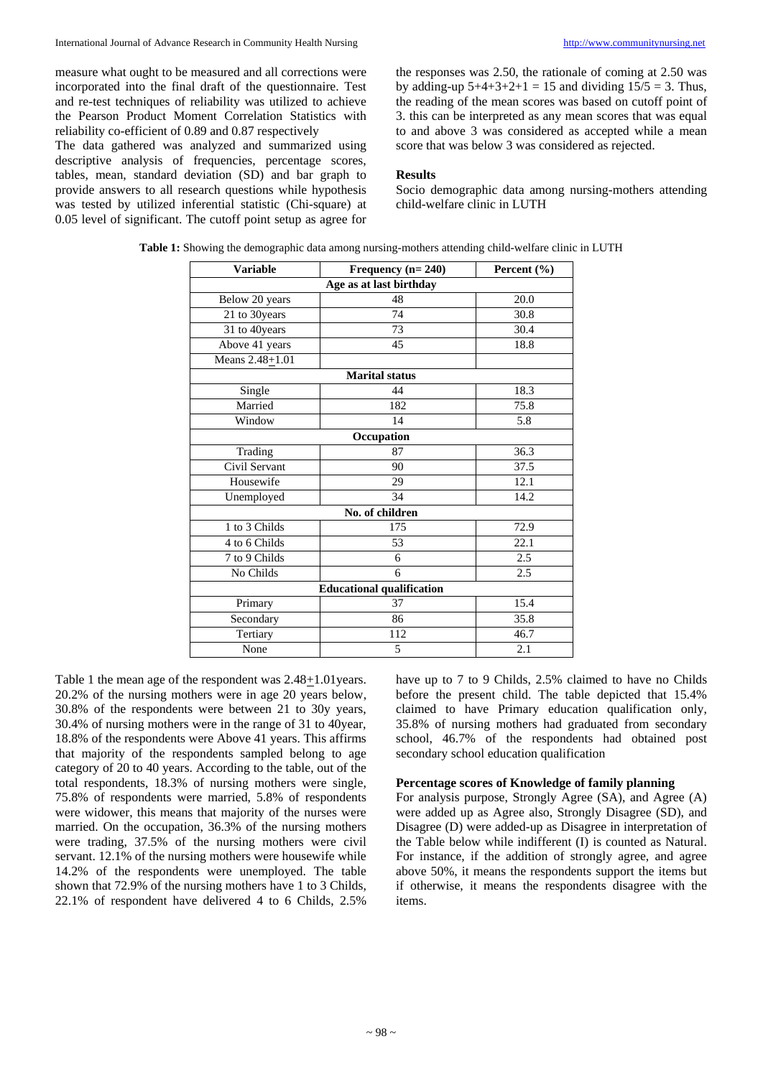measure what ought to be measured and all corrections were incorporated into the final draft of the questionnaire. Test and re-test techniques of reliability was utilized to achieve the Pearson Product Moment Correlation Statistics with reliability co-efficient of 0.89 and 0.87 respectively

The data gathered was analyzed and summarized using descriptive analysis of frequencies, percentage scores, tables, mean, standard deviation (SD) and bar graph to provide answers to all research questions while hypothesis was tested by utilized inferential statistic (Chi-square) at 0.05 level of significant. The cutoff point setup as agree for the responses was 2.50, the rationale of coming at 2.50 was by adding-up  $5+4+3+2+1 = 15$  and dividing  $15/5 = 3$ . Thus, the reading of the mean scores was based on cutoff point of 3. this can be interpreted as any mean scores that was equal to and above 3 was considered as accepted while a mean score that was below 3 was considered as rejected.

#### **Results**

Socio demographic data among nursing-mothers attending child-welfare clinic in LUTH

| <b>Variable</b>     | Frequency $(n=240)$              | Percent (%) |
|---------------------|----------------------------------|-------------|
|                     | Age as at last birthday          |             |
| Below 20 years      | 48                               | 20.0        |
| 21 to 30 years      | 74                               | 30.8        |
| 31 to 40years       | 73                               | 30.4        |
| Above 41 years      | 45                               | 18.8        |
| Means $2.48 + 1.01$ |                                  |             |
|                     | <b>Marital status</b>            |             |
| Single              | 44                               | 18.3        |
| Married             | 182                              | 75.8        |
| Window              | 14                               | 5.8         |
|                     | Occupation                       |             |
| Trading             | 87                               | 36.3        |
| Civil Servant       | 90                               | 37.5        |
| Housewife           | 29                               | 12.1        |
| Unemployed          | 34                               | 14.2        |
|                     | No. of children                  |             |
| 1 to 3 Childs       | 175                              | 72.9        |
| 4 to 6 Childs       | 53                               | 22.1        |
| 7 to 9 Childs       | 6                                | 2.5         |
| No Childs           | 6                                | 2.5         |
|                     | <b>Educational qualification</b> |             |
| Primary             | 37                               | 15.4        |
| Secondary           | 86                               | 35.8        |
| Tertiary            | 112                              | 46.7        |
| None                | 5                                | 2.1         |

**Table 1:** Showing the demographic data among nursing-mothers attending child-welfare clinic in LUTH

Table 1 the mean age of the respondent was 2.48+1.01years. 20.2% of the nursing mothers were in age 20 years below, 30.8% of the respondents were between 21 to 30y years, 30.4% of nursing mothers were in the range of 31 to 40year, 18.8% of the respondents were Above 41 years. This affirms that majority of the respondents sampled belong to age category of 20 to 40 years. According to the table, out of the total respondents, 18.3% of nursing mothers were single, 75.8% of respondents were married, 5.8% of respondents were widower, this means that majority of the nurses were married. On the occupation, 36.3% of the nursing mothers were trading, 37.5% of the nursing mothers were civil servant. 12.1% of the nursing mothers were housewife while 14.2% of the respondents were unemployed. The table shown that 72.9% of the nursing mothers have 1 to 3 Childs, 22.1% of respondent have delivered 4 to 6 Childs, 2.5%

have up to 7 to 9 Childs, 2.5% claimed to have no Childs before the present child. The table depicted that 15.4% claimed to have Primary education qualification only, 35.8% of nursing mothers had graduated from secondary school, 46.7% of the respondents had obtained post secondary school education qualification

#### **Percentage scores of Knowledge of family planning**

For analysis purpose, Strongly Agree (SA), and Agree (A) were added up as Agree also, Strongly Disagree (SD), and Disagree (D) were added-up as Disagree in interpretation of the Table below while indifferent (I) is counted as Natural. For instance, if the addition of strongly agree, and agree above 50%, it means the respondents support the items but if otherwise, it means the respondents disagree with the items.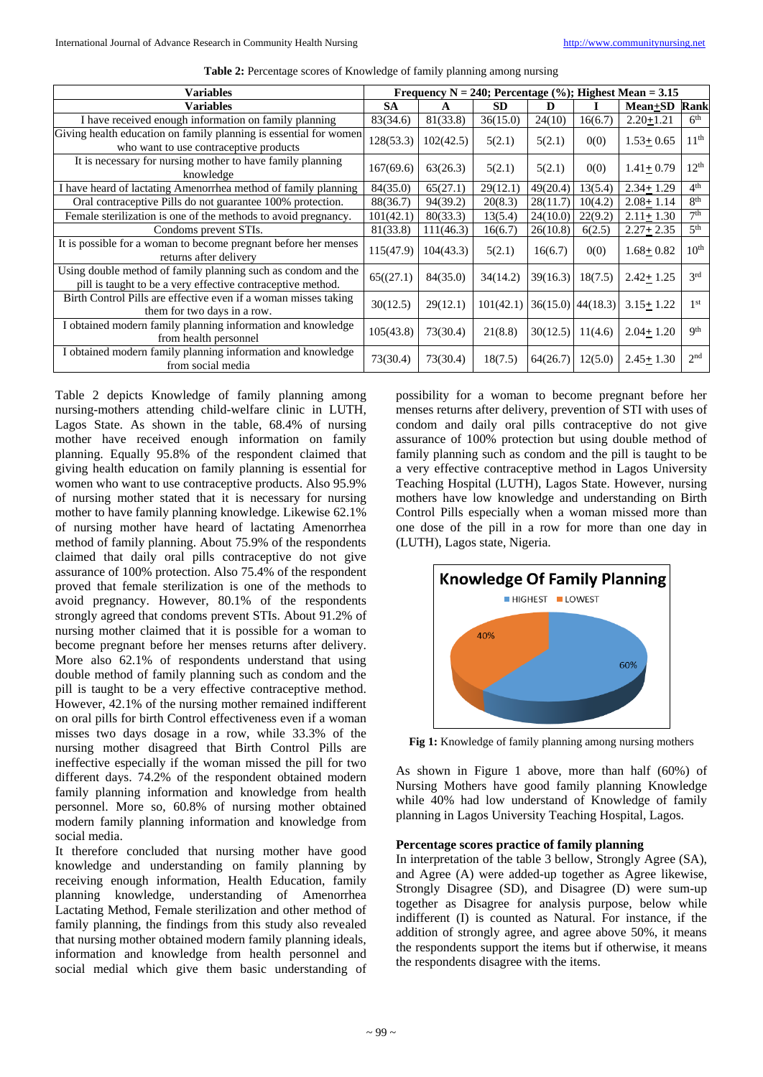| <b>Variables</b>                                                                                                             | Frequency N = 240; Percentage $(\%);$ Highest Mean = 3.15 |           |           |                     |         |                 |                  |
|------------------------------------------------------------------------------------------------------------------------------|-----------------------------------------------------------|-----------|-----------|---------------------|---------|-----------------|------------------|
| <b>Variables</b>                                                                                                             |                                                           | A         | <b>SD</b> | D                   |         | $Mean \pm SD$   | Rank             |
| I have received enough information on family planning                                                                        | 83(34.6)                                                  | 81(33.8)  | 36(15.0)  | 24(10)              | 16(6.7) | $2.20 + 1.21$   | 6 <sup>th</sup>  |
| Giving health education on family planning is essential for women<br>who want to use contraceptive products                  | 128(53.3)                                                 | 102(42.5) | 5(2.1)    | 5(2.1)              | 0(0)    | $1.53 + 0.65$   | 11 <sup>th</sup> |
| It is necessary for nursing mother to have family planning<br>167(69.6)<br>knowledge                                         |                                                           | 63(26.3)  | 5(2.1)    | 5(2.1)              | 0(0)    | $1.41 + 0.79$   | 12 <sup>th</sup> |
| I have heard of lactating Amenorrhea method of family planning                                                               | 84(35.0)                                                  | 65(27.1)  | 29(12.1)  | 49(20.4)            | 13(5.4) | $2.34 + 1.29$   | 4 <sup>th</sup>  |
| Oral contraceptive Pills do not guarantee 100% protection.                                                                   | 88(36.7)                                                  | 94(39.2)  | 20(8.3)   | 28(11.7)            | 10(4.2) | $2.08 + 1.14$   | 8 <sup>th</sup>  |
| Female sterilization is one of the methods to avoid pregnancy.                                                               | 101(42.1)                                                 | 80(33.3)  | 13(5.4)   | 24(10.0)            | 22(9.2) | $2.11 + 1.30$   | 7 <sup>th</sup>  |
| Condoms prevent STIs.                                                                                                        | 81(33.8)                                                  | 111(46.3) | 16(6.7)   | 26(10.8)            | 6(2.5)  | $2.27 \pm 2.35$ | 5 <sup>th</sup>  |
| It is possible for a woman to become pregnant before her menses<br>returns after delivery                                    | 115(47.9)                                                 | 104(43.3) | 5(2.1)    | 16(6.7)             | 0(0)    | $1.68 + 0.82$   | 10 <sup>th</sup> |
| Using double method of family planning such as condom and the<br>pill is taught to be a very effective contraceptive method. | 65((27.1)                                                 | 84(35.0)  | 34(14.2)  | 39(16.3)            | 18(7.5) | $2.42 + 1.25$   | 2rd              |
| Birth Control Pills are effective even if a woman misses taking<br>them for two days in a row.                               | 30(12.5)                                                  | 29(12.1)  | 101(42.1) | $36(15.0)$ 44(18.3) |         | $3.15 + 1.22$   | 1 <sup>st</sup>  |
| I obtained modern family planning information and knowledge<br>from health personnel                                         | 105(43.8)                                                 | 73(30.4)  | 21(8.8)   | 30(12.5)            | 11(4.6) | $2.04 + 1.20$   | <b>Qth</b>       |
| I obtained modern family planning information and knowledge<br>from social media                                             | 73(30.4)                                                  | 73(30.4)  | 18(7.5)   | 64(26.7)            | 12(5.0) | $2.45 + 1.30$   | 2 <sub>nd</sub>  |

**Table 2:** Percentage scores of Knowledge of family planning among nursing

Table 2 depicts Knowledge of family planning among nursing-mothers attending child-welfare clinic in LUTH, Lagos State. As shown in the table, 68.4% of nursing mother have received enough information on family planning. Equally 95.8% of the respondent claimed that giving health education on family planning is essential for women who want to use contraceptive products. Also 95.9% of nursing mother stated that it is necessary for nursing mother to have family planning knowledge. Likewise 62.1% of nursing mother have heard of lactating Amenorrhea method of family planning. About 75.9% of the respondents claimed that daily oral pills contraceptive do not give assurance of 100% protection. Also 75.4% of the respondent proved that female sterilization is one of the methods to avoid pregnancy. However, 80.1% of the respondents strongly agreed that condoms prevent STIs. About 91.2% of nursing mother claimed that it is possible for a woman to become pregnant before her menses returns after delivery. More also 62.1% of respondents understand that using double method of family planning such as condom and the pill is taught to be a very effective contraceptive method. However, 42.1% of the nursing mother remained indifferent on oral pills for birth Control effectiveness even if a woman misses two days dosage in a row, while 33.3% of the nursing mother disagreed that Birth Control Pills are ineffective especially if the woman missed the pill for two different days. 74.2% of the respondent obtained modern family planning information and knowledge from health personnel. More so, 60.8% of nursing mother obtained modern family planning information and knowledge from social media.

It therefore concluded that nursing mother have good knowledge and understanding on family planning by receiving enough information, Health Education, family planning knowledge, understanding of Amenorrhea Lactating Method, Female sterilization and other method of family planning, the findings from this study also revealed that nursing mother obtained modern family planning ideals, information and knowledge from health personnel and social medial which give them basic understanding of possibility for a woman to become pregnant before her menses returns after delivery, prevention of STI with uses of condom and daily oral pills contraceptive do not give assurance of 100% protection but using double method of family planning such as condom and the pill is taught to be a very effective contraceptive method in Lagos University Teaching Hospital (LUTH), Lagos State. However, nursing mothers have low knowledge and understanding on Birth Control Pills especially when a woman missed more than one dose of the pill in a row for more than one day in (LUTH), Lagos state, Nigeria.



**Fig 1:** Knowledge of family planning among nursing mothers

As shown in Figure 1 above, more than half (60%) of Nursing Mothers have good family planning Knowledge while 40% had low understand of Knowledge of family planning in Lagos University Teaching Hospital, Lagos.

#### **Percentage scores practice of family planning**

In interpretation of the table 3 bellow, Strongly Agree (SA), and Agree (A) were added-up together as Agree likewise, Strongly Disagree (SD), and Disagree (D) were sum-up together as Disagree for analysis purpose, below while indifferent (I) is counted as Natural. For instance, if the addition of strongly agree, and agree above 50%, it means the respondents support the items but if otherwise, it means the respondents disagree with the items.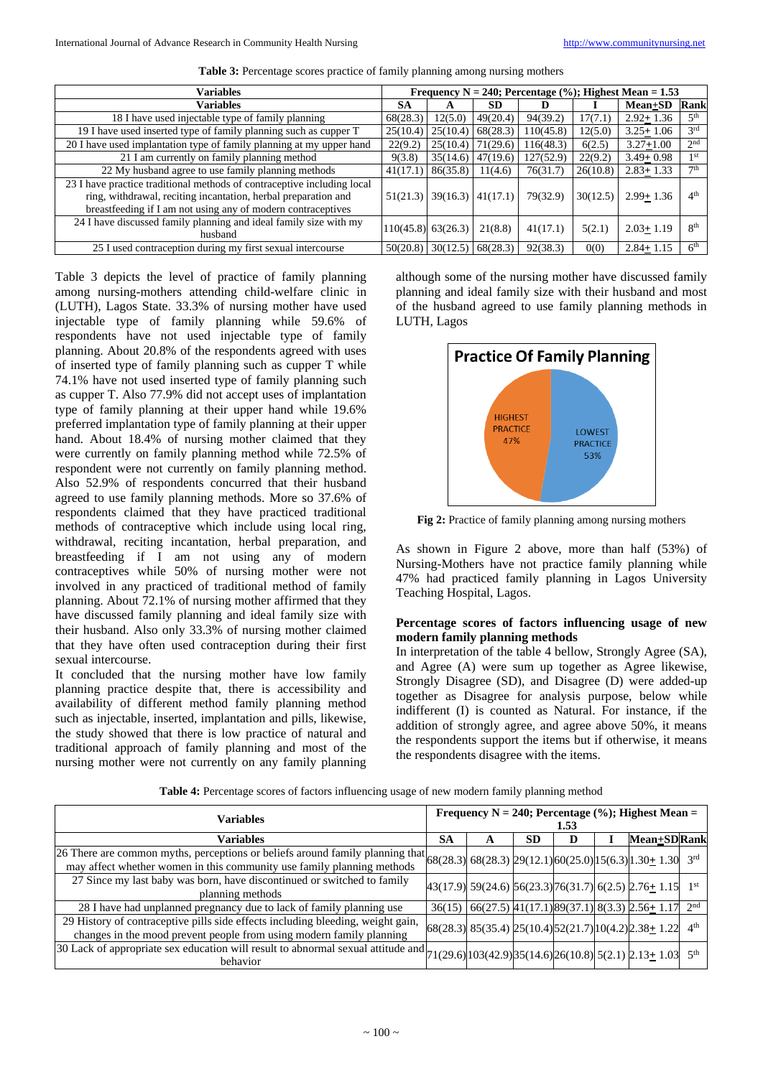| <b>Variables</b>                                                                                                                                                                                          | Frequency N = 240; Percentage $(\%);$ Highest Mean = 1.53 |                        |          |           |          |               |                 |  |
|-----------------------------------------------------------------------------------------------------------------------------------------------------------------------------------------------------------|-----------------------------------------------------------|------------------------|----------|-----------|----------|---------------|-----------------|--|
| <b>Variables</b>                                                                                                                                                                                          |                                                           | А                      | SD       | D         |          | $Mean \pm SD$ | Rank            |  |
| 18 I have used injectable type of family planning                                                                                                                                                         | 68(28.3)                                                  | 12(5.0)                | 49(20.4) | 94(39.2)  | 17(7.1)  | $2.92 + 1.36$ | 5 <sup>th</sup> |  |
| 19 I have used inserted type of family planning such as cupper T<br>25(10.4)                                                                                                                              |                                                           | 25(10.4)               | 68(28.3) | 110(45.8) | 12(5.0)  | $3.25 + 1.06$ | 3 <sup>rd</sup> |  |
| 20 I have used implantation type of family planning at my upper hand                                                                                                                                      |                                                           | 25(10.4)               | 71(29.6) | 116(48.3) | 6(2.5)   | $3.27 + 1.00$ | 2 <sup>nd</sup> |  |
| 21 I am currently on family planning method                                                                                                                                                               |                                                           | 35(14.6)               | 47(19.6) | 127(52.9) | 22(9.2)  | $3.49 + 0.98$ | 1 <sup>st</sup> |  |
| 22 My husband agree to use family planning methods                                                                                                                                                        | 41(17.1)                                                  | 86(35.8)               | 11(4.6)  | 76(31.7)  | 26(10.8) | $2.83 + 1.33$ | 7 <sup>th</sup> |  |
| 23 I have practice traditional methods of contraceptive including local<br>ring, withdrawal, reciting incantation, herbal preparation and<br>breastfeeding if I am not using any of modern contraceptives | 51(21.3)                                                  | 39(16.3)  41(17.1)     |          | 79(32.9)  | 30(12.5) | $2.99 + 1.36$ | 4 <sup>th</sup> |  |
| 24 I have discussed family planning and ideal family size with my<br>husband                                                                                                                              |                                                           | $[110(45.8)]$ 63(26.3) | 21(8.8)  | 41(17.1)  | 5(2.1)   | $2.03 + 1.19$ | $R^{th}$        |  |
| 25 I used contraception during my first sexual intercourse                                                                                                                                                | 50(20.8)                                                  | 30(12.5)               | 68(28.3) | 92(38.3)  | 0(0)     | $2.84 + 1.15$ | 6 <sup>th</sup> |  |

Table 3: Percentage scores practice of family planning among nursing mothers

Table 3 depicts the level of practice of family planning among nursing-mothers attending child-welfare clinic in (LUTH), Lagos State. 33.3% of nursing mother have used injectable type of family planning while 59.6% of respondents have not used injectable type of family planning. About 20.8% of the respondents agreed with uses of inserted type of family planning such as cupper T while 74.1% have not used inserted type of family planning such as cupper T. Also 77.9% did not accept uses of implantation type of family planning at their upper hand while 19.6% preferred implantation type of family planning at their upper hand. About 18.4% of nursing mother claimed that they were currently on family planning method while 72.5% of respondent were not currently on family planning method. Also 52.9% of respondents concurred that their husband agreed to use family planning methods. More so 37.6% of respondents claimed that they have practiced traditional methods of contraceptive which include using local ring, withdrawal, reciting incantation, herbal preparation, and breastfeeding if I am not using any of modern contraceptives while 50% of nursing mother were not involved in any practiced of traditional method of family planning. About 72.1% of nursing mother affirmed that they have discussed family planning and ideal family size with their husband. Also only 33.3% of nursing mother claimed that they have often used contraception during their first sexual intercourse.

It concluded that the nursing mother have low family planning practice despite that, there is accessibility and availability of different method family planning method such as injectable, inserted, implantation and pills, likewise, the study showed that there is low practice of natural and traditional approach of family planning and most of the nursing mother were not currently on any family planning

although some of the nursing mother have discussed family planning and ideal family size with their husband and most of the husband agreed to use family planning methods in LUTH, Lagos



**Fig 2:** Practice of family planning among nursing mothers

As shown in Figure 2 above, more than half (53%) of Nursing-Mothers have not practice family planning while 47% had practiced family planning in Lagos University Teaching Hospital, Lagos.

#### **Percentage scores of factors influencing usage of new modern family planning methods**

In interpretation of the table 4 bellow, Strongly Agree (SA), and Agree (A) were sum up together as Agree likewise, Strongly Disagree (SD), and Disagree (D) were added-up together as Disagree for analysis purpose, below while indifferent (I) is counted as Natural. For instance, if the addition of strongly agree, and agree above 50%, it means the respondents support the items but if otherwise, it means the respondents disagree with the items.

| <b>Variables</b>                                                                                                                                                                                                            |        | Frequency $N = 240$ ; Percentage (%); Highest Mean =<br>1.53 |           |   |  |                                                                 |                 |  |  |
|-----------------------------------------------------------------------------------------------------------------------------------------------------------------------------------------------------------------------------|--------|--------------------------------------------------------------|-----------|---|--|-----------------------------------------------------------------|-----------------|--|--|
| Variables                                                                                                                                                                                                                   | SА     | A                                                            | <b>SD</b> | D |  | <b>Mean+SDRank</b>                                              |                 |  |  |
| 26 There are common myths, perceptions or beliefs around family planning that $ 68(28.3) 68(28.3) 29(12.1) 60(25.0) 15(6.3) 1.30 \pm 1.30 3^{rd}$<br>may affect whether women in this community use family planning methods |        |                                                              |           |   |  |                                                                 |                 |  |  |
| 27 Since my last baby was born, have discontinued or switched to family<br>planning methods                                                                                                                                 |        |                                                              |           |   |  | $43(17.9)$ 59(24.6) 56(23.3) 76(31.7) 6(2.5) 2.76 + 1.15        |                 |  |  |
| 28 I have had unplanned pregnancy due to lack of family planning use                                                                                                                                                        | 36(15) |                                                              |           |   |  | $66(27.5)$ 41(17.1) 89(37.1) 8(3.3) 2.56 + 1.17 2 <sup>nd</sup> |                 |  |  |
| 29 History of contraceptive pills side effects including bleeding, weight gain,<br>changes in the mood prevent people from using modern family planning                                                                     |        |                                                              |           |   |  | $ 68(28.3) 85(35.4) 25(10.4) 52(21.7) 10(4.2) 2.38 \pm 1.22 $   | 4 <sup>th</sup> |  |  |
| 30 Lack of appropriate sex education will result to abnormal sexual attitude and $71(29.6)103(42.9)35(14.6)26(10.8)5(2.1)2.13 \pm 1.03$<br>behavior                                                                         |        |                                                              |           |   |  |                                                                 | 5 <sup>th</sup> |  |  |

**Table 4:** Percentage scores of factors influencing usage of new modern family planning method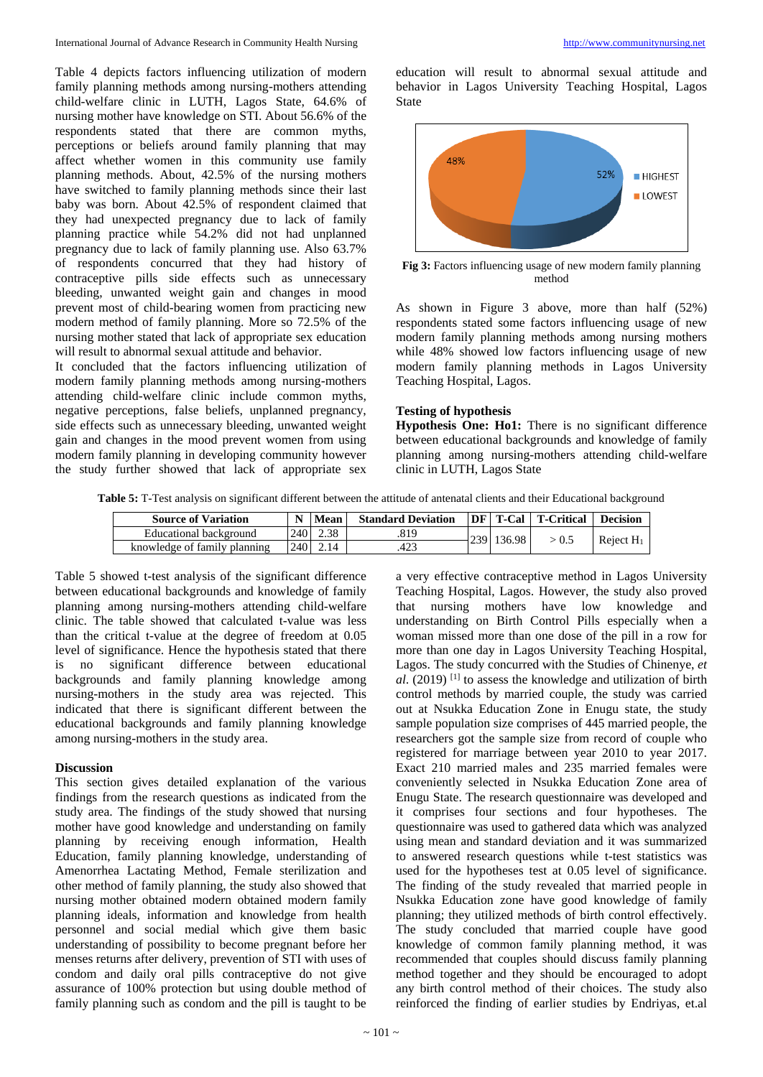Table 4 depicts factors influencing utilization of modern family planning methods among nursing-mothers attending child-welfare clinic in LUTH, Lagos State, 64.6% of nursing mother have knowledge on STI. About 56.6% of the respondents stated that there are common myths, perceptions or beliefs around family planning that may affect whether women in this community use family planning methods. About, 42.5% of the nursing mothers have switched to family planning methods since their last baby was born. About 42.5% of respondent claimed that they had unexpected pregnancy due to lack of family planning practice while 54.2% did not had unplanned pregnancy due to lack of family planning use. Also 63.7% of respondents concurred that they had history of contraceptive pills side effects such as unnecessary bleeding, unwanted weight gain and changes in mood prevent most of child-bearing women from practicing new modern method of family planning. More so 72.5% of the nursing mother stated that lack of appropriate sex education will result to abnormal sexual attitude and behavior.

It concluded that the factors influencing utilization of modern family planning methods among nursing-mothers attending child-welfare clinic include common myths, negative perceptions, false beliefs, unplanned pregnancy, side effects such as unnecessary bleeding, unwanted weight gain and changes in the mood prevent women from using modern family planning in developing community however the study further showed that lack of appropriate sex

education will result to abnormal sexual attitude and behavior in Lagos University Teaching Hospital, Lagos State



**Fig 3:** Factors influencing usage of new modern family planning method

As shown in Figure 3 above, more than half (52%) respondents stated some factors influencing usage of new modern family planning methods among nursing mothers while 48% showed low factors influencing usage of new modern family planning methods in Lagos University Teaching Hospital, Lagos.

#### **Testing of hypothesis**

**Hypothesis One: Ho1:** There is no significant difference between educational backgrounds and knowledge of family planning among nursing-mothers attending child-welfare clinic in LUTH, Lagos State

**Table 5:** T-Test analysis on significant different between the attitude of antenatal clients and their Educational background

| <b>Source of Variation</b>   | N                 | Mean | <b>Standard Deviation</b> |            | <b>DF</b>   T-Cal   T-Critical | <b>Decision</b> |
|------------------------------|-------------------|------|---------------------------|------------|--------------------------------|-----------------|
| Educational background       | 240 L             | 2.38 | .819                      | 239 136.98 | > 0.5                          |                 |
| knowledge of family planning | 240 <sup>-1</sup> | 2.14 | 423                       |            |                                | Reject $H_1$    |

Table 5 showed t-test analysis of the significant difference between educational backgrounds and knowledge of family planning among nursing-mothers attending child-welfare clinic. The table showed that calculated t-value was less than the critical t-value at the degree of freedom at 0.05 level of significance. Hence the hypothesis stated that there is no significant difference between educational backgrounds and family planning knowledge among nursing-mothers in the study area was rejected. This indicated that there is significant different between the educational backgrounds and family planning knowledge among nursing-mothers in the study area.

#### **Discussion**

This section gives detailed explanation of the various findings from the research questions as indicated from the study area. The findings of the study showed that nursing mother have good knowledge and understanding on family planning by receiving enough information, Health Education, family planning knowledge, understanding of Amenorrhea Lactating Method, Female sterilization and other method of family planning, the study also showed that nursing mother obtained modern obtained modern family planning ideals, information and knowledge from health personnel and social medial which give them basic understanding of possibility to become pregnant before her menses returns after delivery, prevention of STI with uses of condom and daily oral pills contraceptive do not give assurance of 100% protection but using double method of family planning such as condom and the pill is taught to be

a very effective contraceptive method in Lagos University Teaching Hospital, Lagos. However, the study also proved that nursing mothers have low knowledge and understanding on Birth Control Pills especially when a woman missed more than one dose of the pill in a row for more than one day in Lagos University Teaching Hospital, Lagos. The study concurred with the Studies of Chinenye, *et al*. (2019) [1] to assess the knowledge and utilization of birth control methods by married couple, the study was carried out at Nsukka Education Zone in Enugu state, the study sample population size comprises of 445 married people, the researchers got the sample size from record of couple who registered for marriage between year 2010 to year 2017. Exact 210 married males and 235 married females were conveniently selected in Nsukka Education Zone area of Enugu State. The research questionnaire was developed and it comprises four sections and four hypotheses. The questionnaire was used to gathered data which was analyzed using mean and standard deviation and it was summarized to answered research questions while t-test statistics was used for the hypotheses test at 0.05 level of significance. The finding of the study revealed that married people in Nsukka Education zone have good knowledge of family planning; they utilized methods of birth control effectively. The study concluded that married couple have good knowledge of common family planning method, it was recommended that couples should discuss family planning method together and they should be encouraged to adopt any birth control method of their choices. The study also reinforced the finding of earlier studies by Endriyas, et.al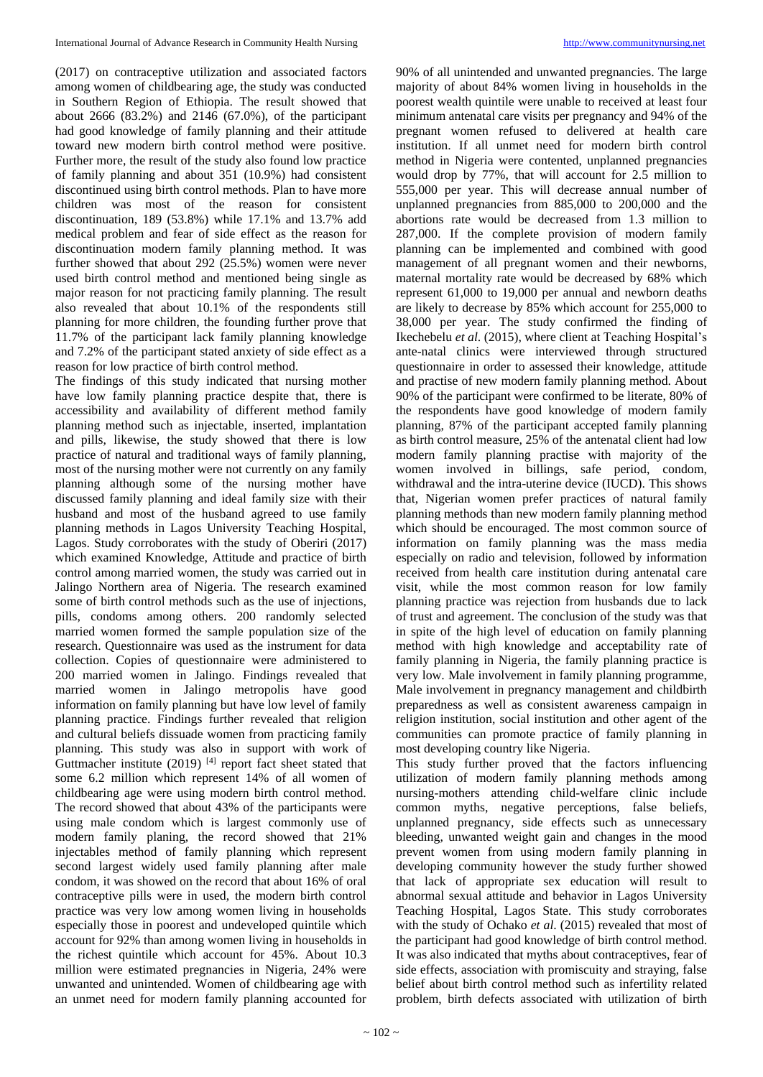(2017) on contraceptive utilization and associated factors among women of childbearing age, the study was conducted in Southern Region of Ethiopia. The result showed that about 2666 (83.2%) and 2146 (67.0%), of the participant had good knowledge of family planning and their attitude toward new modern birth control method were positive. Further more, the result of the study also found low practice of family planning and about 351 (10.9%) had consistent discontinued using birth control methods. Plan to have more children was most of the reason for consistent discontinuation, 189 (53.8%) while 17.1% and 13.7% add medical problem and fear of side effect as the reason for discontinuation modern family planning method. It was further showed that about 292 (25.5%) women were never used birth control method and mentioned being single as major reason for not practicing family planning. The result also revealed that about 10.1% of the respondents still planning for more children, the founding further prove that 11.7% of the participant lack family planning knowledge and 7.2% of the participant stated anxiety of side effect as a reason for low practice of birth control method.

The findings of this study indicated that nursing mother have low family planning practice despite that, there is accessibility and availability of different method family planning method such as injectable, inserted, implantation and pills, likewise, the study showed that there is low practice of natural and traditional ways of family planning, most of the nursing mother were not currently on any family planning although some of the nursing mother have discussed family planning and ideal family size with their husband and most of the husband agreed to use family planning methods in Lagos University Teaching Hospital, Lagos. Study corroborates with the study of Oberiri (2017) which examined Knowledge, Attitude and practice of birth control among married women, the study was carried out in Jalingo Northern area of Nigeria. The research examined some of birth control methods such as the use of injections, pills, condoms among others. 200 randomly selected married women formed the sample population size of the research. Questionnaire was used as the instrument for data collection. Copies of questionnaire were administered to 200 married women in Jalingo. Findings revealed that married women in Jalingo metropolis have good information on family planning but have low level of family planning practice. Findings further revealed that religion and cultural beliefs dissuade women from practicing family planning. This study was also in support with work of Guttmacher institute  $(2019)$ <sup>[4]</sup> report fact sheet stated that some 6.2 million which represent 14% of all women of childbearing age were using modern birth control method. The record showed that about 43% of the participants were using male condom which is largest commonly use of modern family planing, the record showed that 21% injectables method of family planning which represent second largest widely used family planning after male condom, it was showed on the record that about 16% of oral contraceptive pills were in used, the modern birth control practice was very low among women living in households especially those in poorest and undeveloped quintile which account for 92% than among women living in households in the richest quintile which account for 45%. About 10.3 million were estimated pregnancies in Nigeria, 24% were unwanted and unintended. Women of childbearing age with an unmet need for modern family planning accounted for

90% of all unintended and unwanted pregnancies. The large majority of about 84% women living in households in the poorest wealth quintile were unable to received at least four minimum antenatal care visits per pregnancy and 94% of the pregnant women refused to delivered at health care institution. If all unmet need for modern birth control method in Nigeria were contented, unplanned pregnancies would drop by 77%, that will account for 2.5 million to 555,000 per year. This will decrease annual number of unplanned pregnancies from 885,000 to 200,000 and the abortions rate would be decreased from 1.3 million to 287,000. If the complete provision of modern family planning can be implemented and combined with good management of all pregnant women and their newborns, maternal mortality rate would be decreased by 68% which represent 61,000 to 19,000 per annual and newborn deaths are likely to decrease by 85% which account for 255,000 to 38,000 per year. The study confirmed the finding of Ikechebelu *et al*. (2015), where client at Teaching Hospital's ante-natal clinics were interviewed through structured questionnaire in order to assessed their knowledge, attitude and practise of new modern family planning method. About 90% of the participant were confirmed to be literate, 80% of the respondents have good knowledge of modern family planning, 87% of the participant accepted family planning as birth control measure, 25% of the antenatal client had low modern family planning practise with majority of the women involved in billings, safe period, condom, withdrawal and the intra-uterine device (IUCD). This shows that, Nigerian women prefer practices of natural family planning methods than new modern family planning method which should be encouraged. The most common source of information on family planning was the mass media especially on radio and television, followed by information received from health care institution during antenatal care visit, while the most common reason for low family planning practice was rejection from husbands due to lack of trust and agreement. The conclusion of the study was that in spite of the high level of education on family planning method with high knowledge and acceptability rate of family planning in Nigeria, the family planning practice is very low. Male involvement in family planning programme, Male involvement in pregnancy management and childbirth preparedness as well as consistent awareness campaign in religion institution, social institution and other agent of the communities can promote practice of family planning in most developing country like Nigeria.

This study further proved that the factors influencing utilization of modern family planning methods among nursing-mothers attending child-welfare clinic include common myths, negative perceptions, false beliefs, unplanned pregnancy, side effects such as unnecessary bleeding, unwanted weight gain and changes in the mood prevent women from using modern family planning in developing community however the study further showed that lack of appropriate sex education will result to abnormal sexual attitude and behavior in Lagos University Teaching Hospital, Lagos State. This study corroborates with the study of Ochako *et al*. (2015) revealed that most of the participant had good knowledge of birth control method. It was also indicated that myths about contraceptives, fear of side effects, association with promiscuity and straying, false belief about birth control method such as infertility related problem, birth defects associated with utilization of birth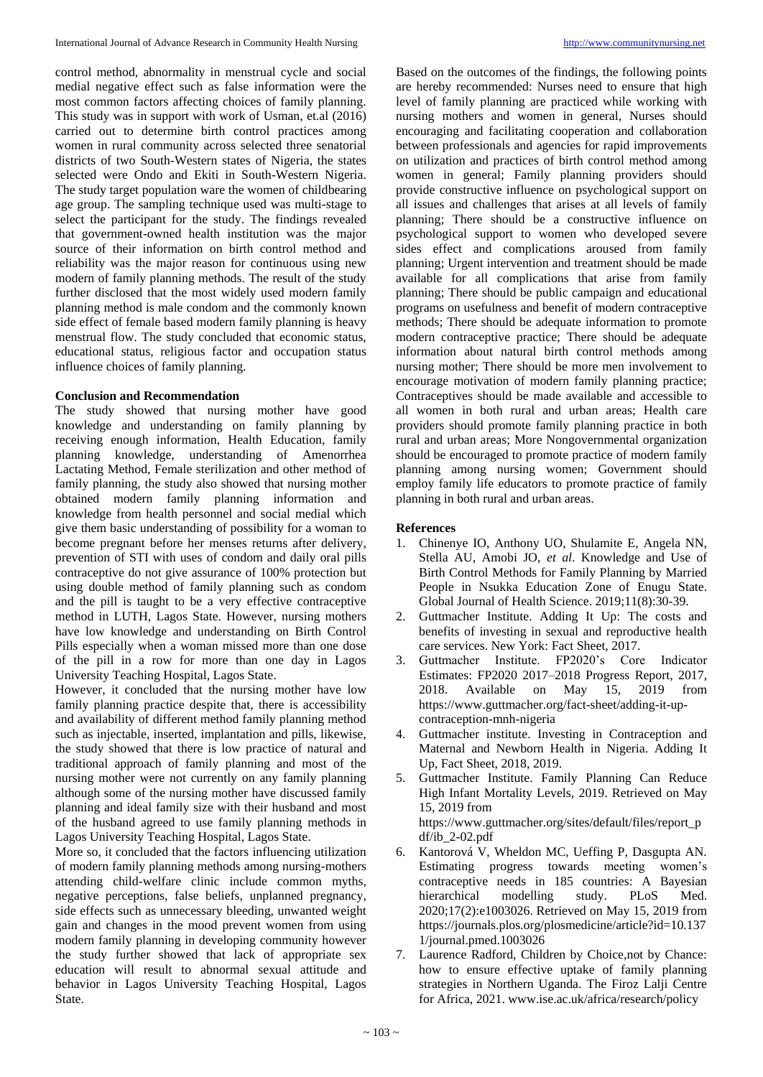control method, abnormality in menstrual cycle and social medial negative effect such as false information were the most common factors affecting choices of family planning. This study was in support with work of Usman, et.al (2016) carried out to determine birth control practices among women in rural community across selected three senatorial districts of two South-Western states of Nigeria, the states selected were Ondo and Ekiti in South-Western Nigeria. The study target population ware the women of childbearing age group. The sampling technique used was multi-stage to select the participant for the study. The findings revealed that government-owned health institution was the major source of their information on birth control method and reliability was the major reason for continuous using new modern of family planning methods. The result of the study further disclosed that the most widely used modern family planning method is male condom and the commonly known side effect of female based modern family planning is heavy menstrual flow. The study concluded that economic status, educational status, religious factor and occupation status influence choices of family planning.

#### **Conclusion and Recommendation**

The study showed that nursing mother have good knowledge and understanding on family planning by receiving enough information, Health Education, family planning knowledge, understanding of Amenorrhea Lactating Method, Female sterilization and other method of family planning, the study also showed that nursing mother obtained modern family planning information and knowledge from health personnel and social medial which give them basic understanding of possibility for a woman to become pregnant before her menses returns after delivery, prevention of STI with uses of condom and daily oral pills contraceptive do not give assurance of 100% protection but using double method of family planning such as condom and the pill is taught to be a very effective contraceptive method in LUTH, Lagos State. However, nursing mothers have low knowledge and understanding on Birth Control Pills especially when a woman missed more than one dose of the pill in a row for more than one day in Lagos University Teaching Hospital, Lagos State.

However, it concluded that the nursing mother have low family planning practice despite that, there is accessibility and availability of different method family planning method such as injectable, inserted, implantation and pills, likewise, the study showed that there is low practice of natural and traditional approach of family planning and most of the nursing mother were not currently on any family planning although some of the nursing mother have discussed family planning and ideal family size with their husband and most of the husband agreed to use family planning methods in Lagos University Teaching Hospital, Lagos State.

More so, it concluded that the factors influencing utilization of modern family planning methods among nursing-mothers attending child-welfare clinic include common myths, negative perceptions, false beliefs, unplanned pregnancy, side effects such as unnecessary bleeding, unwanted weight gain and changes in the mood prevent women from using modern family planning in developing community however the study further showed that lack of appropriate sex education will result to abnormal sexual attitude and behavior in Lagos University Teaching Hospital, Lagos State.

Based on the outcomes of the findings, the following points are hereby recommended: Nurses need to ensure that high level of family planning are practiced while working with nursing mothers and women in general, Nurses should encouraging and facilitating cooperation and collaboration between professionals and agencies for rapid improvements on utilization and practices of birth control method among women in general; Family planning providers should provide constructive influence on psychological support on all issues and challenges that arises at all levels of family planning; There should be a constructive influence on psychological support to women who developed severe sides effect and complications aroused from family planning; Urgent intervention and treatment should be made available for all complications that arise from family planning; There should be public campaign and educational programs on usefulness and benefit of modern contraceptive methods; There should be adequate information to promote modern contraceptive practice; There should be adequate information about natural birth control methods among nursing mother; There should be more men involvement to encourage motivation of modern family planning practice; Contraceptives should be made available and accessible to all women in both rural and urban areas; Health care providers should promote family planning practice in both rural and urban areas; More Nongovernmental organization should be encouraged to promote practice of modern family planning among nursing women; Government should employ family life educators to promote practice of family planning in both rural and urban areas.

#### **References**

- 1. Chinenye IO, Anthony UO, Shulamite E, Angela NN, Stella AU, Amobi JO, *et al*. Knowledge and Use of Birth Control Methods for Family Planning by Married People in Nsukka Education Zone of Enugu State. Global Journal of Health Science. 2019;11(8):30-39.
- 2. Guttmacher Institute. Adding It Up: The costs and benefits of investing in sexual and reproductive health care services. New York: Fact Sheet, 2017.
- 3. Guttmacher Institute. FP2020's Core Indicator Estimates: FP2020 2017–2018 Progress Report, 2017, 2018. Available on May 15, 2019 from https://www.guttmacher.org/fact-sheet/adding-it-upcontraception-mnh-nigeria
- 4. Guttmacher institute. Investing in Contraception and Maternal and Newborn Health in Nigeria. Adding It Up, Fact Sheet, 2018, 2019.
- 5. Guttmacher Institute. Family Planning Can Reduce High Infant Mortality Levels, 2019. Retrieved on May 15, 2019 from https://www.guttmacher.org/sites/default/files/report\_p df/ib\_2-02.pdf 6. Kantorová V, Wheldon MC, Ueffing P, Dasgupta AN.
- Estimating progress towards meeting women's contraceptive needs in 185 countries: A Bayesian hierarchical modelling study. PLoS Med. 2020;17(2):e1003026. Retrieved on May 15, 2019 from https://journals.plos.org/plosmedicine/article?id=10.137 1/journal.pmed.1003026
- 7. Laurence Radford, Children by Choice,not by Chance: how to ensure effective uptake of family planning strategies in Northern Uganda. The Firoz Lalji Centre for Africa, 2021. www.ise.ac.uk/africa/research/policy